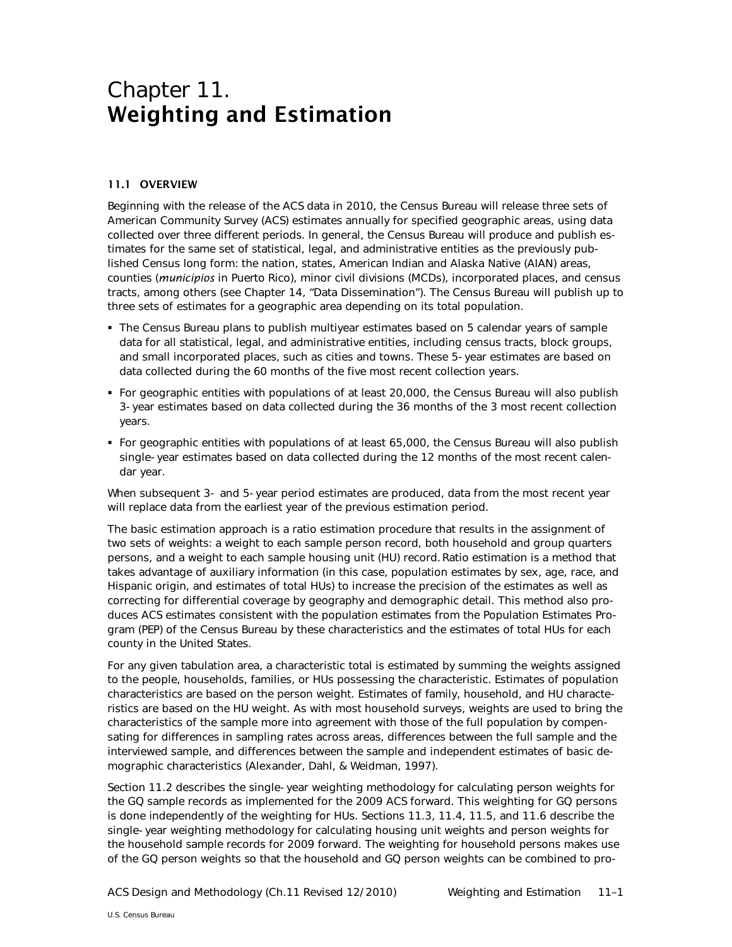# Chapter 11. Weighting and Estimation

# 11.1 OVERVIEW

Beginning with the release of the ACS data in 2010, the Census Bureau will release three sets of American Community Survey (ACS) estimates annually for specified geographic areas, using data collected over three different periods. In general, the Census Bureau will produce and publish estimates for the same set of statistical, legal, and administrative entities as the previously published Census long form: the nation, states, American Indian and Alaska Native (AIAN) areas, counties (*municipios* in Puerto Rico), minor civil divisions (MCDs), incorporated places, and census tracts, among others (see Chapter 14, "Data Dissemination"). The Census Bureau will publish up to three sets of estimates for a geographic area depending on its total population.

- The Census Bureau plans to publish multiyear estimates based on 5 calendar years of sample data for all statistical, legal, and administrative entities, including census tracts, block groups, and small incorporated places, such as cities and towns. These 5-year estimates are based on data collected during the 60 months of the five most recent collection years.
- For geographic entities with populations of at least 20,000, the Census Bureau will also publish 3-year estimates based on data collected during the 36 months of the 3 most recent collection years.
- For geographic entities with populations of at least 65,000, the Census Bureau will also publish single-year estimates based on data collected during the 12 months of the most recent calendar year.

When subsequent 3- and 5-year period estimates are produced, data from the most recent year will replace data from the earliest year of the previous estimation period.

The basic estimation approach is a ratio estimation procedure that results in the assignment of two sets of weights: a weight to each sample person record, both household and group quarters persons, and a weight to each sample housing unit (HU) record. Ratio estimation is a method that takes advantage of auxiliary information (in this case, population estimates by sex, age, race, and Hispanic origin, and estimates of total HUs) to increase the precision of the estimates as well as correcting for differential coverage by geography and demographic detail. This method also produces ACS estimates consistent with the population estimates from the Population Estimates Program (PEP) of the Census Bureau by these characteristics and the estimates of total HUs for each county in the United States.

For any given tabulation area, a characteristic total is estimated by summing the weights assigned to the people, households, families, or HUs possessing the characteristic. Estimates of population characteristics are based on the person weight. Estimates of family, household, and HU characteristics are based on the HU weight. As with most household surveys, weights are used to bring the characteristics of the sample more into agreement with those of the full population by compensating for differences in sampling rates across areas, differences between the full sample and the interviewed sample, and differences between the sample and independent estimates of basic demographic characteristics (Alexander, Dahl, & Weidman, 1997).

Section [11.2](#page-1-0) describes the single-year weighting methodology for calculating person weights for the GQ sample records as implemented for the 2009 ACS forward. This weighting for GQ persons is done independently of the weighting for HUs. Sections [11.3,](#page-3-0) [11.4,](#page-3-1) [11.5,](#page-5-0) and [11.6](#page-9-0) describe the single-year weighting methodology for calculating housing unit weights and person weights for the household sample records for 2009 forward. The weighting for household persons makes use of the GQ person weights so that the household and GQ person weights can be combined to pro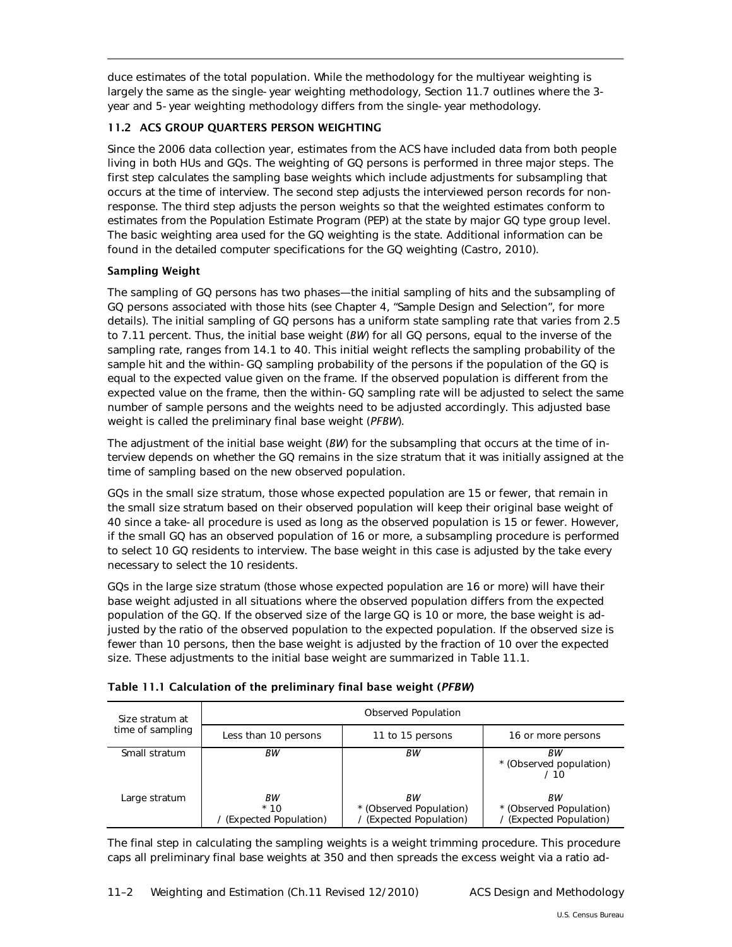duce estimates of the total population. While the methodology for the multiyear weighting is largely the same as the single-year weighting methodology, Section [11.7](#page-14-0) outlines where the 3 year and 5-year weighting methodology differs from the single-year methodology.

# <span id="page-1-0"></span>11.2 ACS GROUP QUARTERS PERSON WEIGHTING

Since the 2006 data collection year, estimates from the ACS have included data from both people living in both HUs and GQs. The weighting of GQ persons is performed in three major steps. The first step calculates the sampling base weights which include adjustments for subsampling that occurs at the time of interview. The second step adjusts the interviewed person records for nonresponse. The third step adjusts the person weights so that the weighted estimates conform to estimates from the Population Estimate Program (PEP) at the state by major GQ type group level. The basic weighting area used for the GQ weighting is the state. Additional information can be found in the detailed computer specifications for the GQ weighting (Castro, 2010).

# Sampling Weight

The sampling of GQ persons has two phases—the initial sampling of hits and the subsampling of GQ persons associated with those hits (see Chapter 4, "Sample Design and Selection", for more details). The initial sampling of GQ persons has a uniform state sampling rate that varies from 2.5 to 7.11 percent. Thus, the initial base weight (*BW*) for all GQ persons, equal to the inverse of the sampling rate, ranges from 14.1 to 40. This initial weight reflects the sampling probability of the sample hit and the within-GQ sampling probability of the persons if the population of the GQ is equal to the expected value given on the frame. If the observed population is different from the expected value on the frame, then the within-GQ sampling rate will be adjusted to select the same number of sample persons and the weights need to be adjusted accordingly. This adjusted base weight is called the preliminary final base weight (*PFBW*).

The adjustment of the initial base weight (*BW*) for the subsampling that occurs at the time of interview depends on whether the GQ remains in the size stratum that it was initially assigned at the time of sampling based on the new observed population.

GQs in the small size stratum, those whose expected population are 15 or fewer, that remain in the small size stratum based on their observed population will keep their original base weight of 40 since a take-all procedure is used as long as the observed population is 15 or fewer. However, if the small GQ has an observed population of 16 or more, a subsampling procedure is performed to select 10 GQ residents to interview. The base weight in this case is adjusted by the take every necessary to select the 10 residents.

GQs in the large size stratum (those whose expected population are 16 or more) will have their base weight adjusted in all situations where the observed population differs from the expected population of the GQ. If the observed size of the large GQ is 10 or more, the base weight is adjusted by the ratio of the observed population to the expected population. If the observed size is fewer than 10 persons, then the base weight is adjusted by the fraction of 10 over the expected size. These adjustments to the initial base weight are summarized in Table 11.1.

| Table 11.1 Calculation of the preliminary final base weight (PFBW) |  |  |  |
|--------------------------------------------------------------------|--|--|--|
|                                                                    |  |  |  |

| Size stratum at  | Observed Population                    |                                                        |                                                          |  |
|------------------|----------------------------------------|--------------------------------------------------------|----------------------------------------------------------|--|
| time of sampling | Less than 10 persons                   | 11 to 15 persons                                       | 16 or more persons                                       |  |
| Small stratum    | ВW                                     | ВW                                                     | ВW<br>* (Observed population)<br>/ 10                    |  |
| Large stratum    | ВW<br>$*10$<br>/ (Expected Population) | ВW<br>* (Observed Population)<br>(Expected Population) | ВW<br>* (Observed Population)<br>/ (Expected Population) |  |

The final step in calculating the sampling weights is a weight trimming procedure. This procedure caps all preliminary final base weights at 350 and then spreads the excess weight via a ratio ad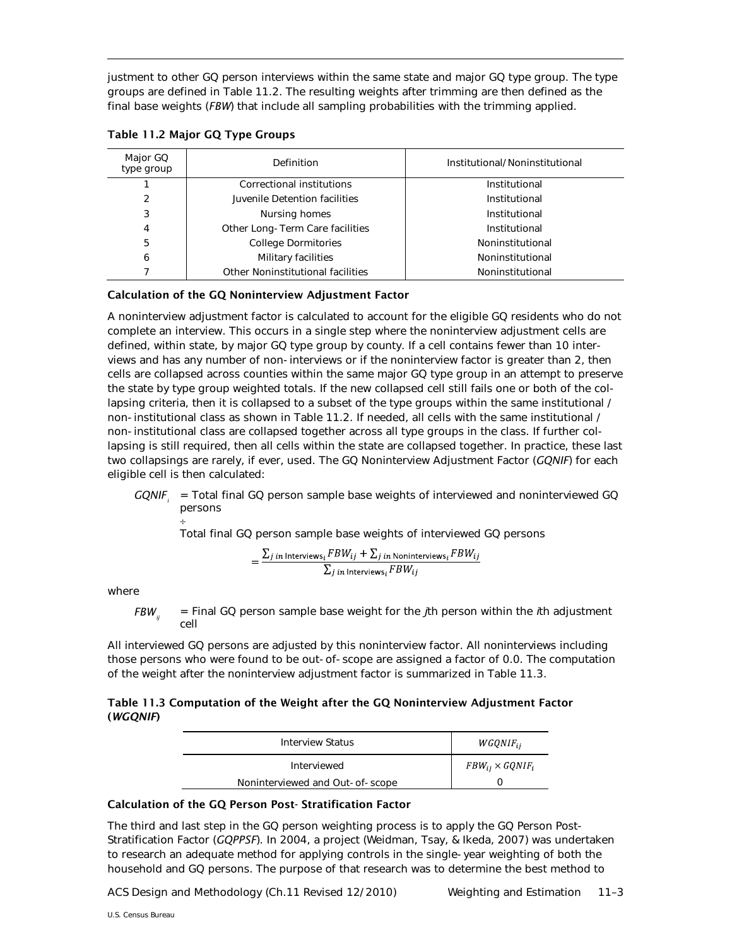justment to other GQ person interviews within the same state and major GQ type group. The type groups are defined in Table 11.2. The resulting weights after trimming are then defined as the final base weights (*FBW*) that include all sampling probabilities with the trimming applied.

| Major GQ<br>type group | Definition                        | Institutional/Noninstitutional |
|------------------------|-----------------------------------|--------------------------------|
|                        | Correctional institutions         | Institutional                  |
| 2                      | Juvenile Detention facilities     | Institutional                  |
| 3                      | Nursing homes                     | Institutional                  |
| 4                      | Other Long-Term Care facilities   | Institutional                  |
| 5                      | <b>College Dormitories</b>        | Noninstitutional               |
| 6                      | Military facilities               | Noninstitutional               |
|                        | Other Noninstitutional facilities | Noninstitutional               |

Table 11.2 Major GQ Type Groups

# Calculation of the GQ Noninterview Adjustment Factor

A noninterview adjustment factor is calculated to account for the eligible GQ residents who do not complete an interview. This occurs in a single step where the noninterview adjustment cells are defined, within state, by major GQ type group by county. If a cell contains fewer than 10 interviews and has any number of non-interviews or if the noninterview factor is greater than 2, then cells are collapsed across counties within the same major GQ type group in an attempt to preserve the state by type group weighted totals. If the new collapsed cell still fails one or both of the collapsing criteria, then it is collapsed to a subset of the type groups within the same institutional / non-institutional class as shown in Table 11.2. If needed, all cells with the same institutional / non-institutional class are collapsed together across all type groups in the class. If further collapsing is still required, then all cells within the state are collapsed together. In practice, these last two collapsings are rarely, if ever, used. The GQ Noninterview Adjustment Factor (*GQNIF*) for each eligible cell is then calculated:

GQNIF<sub>i</sub> = Total final GQ person sample base weights of interviewed and noninterviewed GQ persons ÷

Total final GQ person sample base weights of interviewed GQ persons

$$
= \frac{\sum_{j \ in \ Interviews_i} FBW_{ij} + \sum_{j \ in \ Noninterviews_i} FBW_{ij}}{\sum_{j \ in \ Interviews_i} FBW_{ij}}
$$

where

*FBWij* = Final GQ person sample base weight for the *j*th person within the *i*th adjustment cell

All interviewed GQ persons are adjusted by this noninterview factor. All noninterviews including those persons who were found to be out-of-scope are assigned a factor of 0.0. The computation of the weight after the noninterview adjustment factor is summarized in Table 11.3.

# Table 11.3 Computation of the Weight after the GQ Noninterview Adjustment Factor (*WGQNIF*)

| Interview Status                | $WGQNIF_{ii}$             |
|---------------------------------|---------------------------|
| Interviewed                     | $FBW_{ij} \times GQNIF_i$ |
| Noninterviewed and Out-of-scope |                           |

## Calculation of the GQ Person Post- Stratification Factor

The third and last step in the GQ person weighting process is to apply the GQ Person Post-Stratification Factor (*GQPPSF*). In 2004, a project (Weidman, Tsay, & Ikeda, 2007) was undertaken to research an adequate method for applying controls in the single-year weighting of both the household and GQ persons. The purpose of that research was to determine the best method to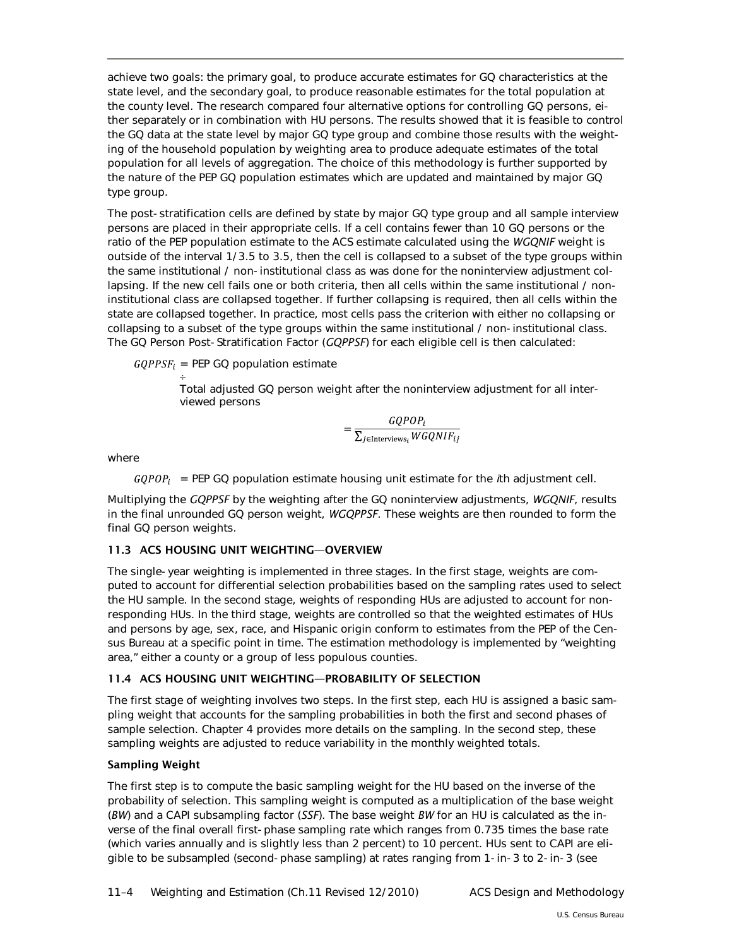achieve two goals: the primary goal, to produce accurate estimates for GQ characteristics at the state level, and the secondary goal, to produce reasonable estimates for the total population at the county level. The research compared four alternative options for controlling GQ persons, either separately or in combination with HU persons. The results showed that it is feasible to control the GQ data at the state level by major GQ type group and combine those results with the weighting of the household population by weighting area to produce adequate estimates of the total population for all levels of aggregation. The choice of this methodology is further supported by the nature of the PEP GQ population estimates which are updated and maintained by major GQ type group.

The post-stratification cells are defined by state by major GQ type group and all sample interview persons are placed in their appropriate cells. If a cell contains fewer than 10 GQ persons or the ratio of the PEP population estimate to the ACS estimate calculated using the *WGQNIF* weight is outside of the interval 1/3.5 to 3.5, then the cell is collapsed to a subset of the type groups within the same institutional / non-institutional class as was done for the noninterview adjustment collapsing. If the new cell fails one or both criteria, then all cells within the same institutional / noninstitutional class are collapsed together. If further collapsing is required, then all cells within the state are collapsed together. In practice, most cells pass the criterion with either no collapsing or collapsing to a subset of the type groups within the same institutional / non-institutional class. The GQ Person Post-Stratification Factor (*GQPPSF*) for each eligible cell is then calculated:

 $GQPPSF_i = PEP GO population estimate$ 

÷ Total adjusted GQ person weight after the noninterview adjustment for all interviewed persons

$$
= \frac{GQPOP_i}{\sum_{j \in Interviews_i} WGQNIF_{ij}}
$$

where

 $GQPOP_i$  = PEP GQ population estimate housing unit estimate for the *i*th adjustment cell.

Multiplying the *GQPPSF* by the weighting after the GQ noninterview adjustments, *WGQNIF*, results in the final unrounded GQ person weight, *WGQPPSF*. These weights are then rounded to form the final GQ person weights.

# <span id="page-3-0"></span>11.3 ACS HOUSING UNIT WEIGHTING—OVERVIEW

The single-year weighting is implemented in three stages. In the first stage, weights are computed to account for differential selection probabilities based on the sampling rates used to select the HU sample. In the second stage, weights of responding HUs are adjusted to account for nonresponding HUs. In the third stage, weights are controlled so that the weighted estimates of HUs and persons by age, sex, race, and Hispanic origin conform to estimates from the PEP of the Census Bureau at a specific point in time. The estimation methodology is implemented by "weighting area," either a county or a group of less populous counties.

## <span id="page-3-1"></span>11.4 ACS HOUSING UNIT WEIGHTING—PROBABILITY OF SELECTION

The first stage of weighting involves two steps. In the first step, each HU is assigned a basic sampling weight that accounts for the sampling probabilities in both the first and second phases of sample selection. Chapter 4 provides more details on the sampling. In the second step, these sampling weights are adjusted to reduce variability in the monthly weighted totals.

## Sampling Weight

The first step is to compute the basic sampling weight for the HU based on the inverse of the probability of selection. This sampling weight is computed as a multiplication of the base weight (*BW*) and a CAPI subsampling factor (*SSF*). The base weight *BW* for an HU is calculated as the inverse of the final overall first-phase sampling rate which ranges from 0.735 times the base rate (which varies annually and is slightly less than 2 percent) to 10 percent. HUs sent to CAPI are eligible to be subsampled (second-phase sampling) at rates ranging from 1-in-3 to 2-in-3 (see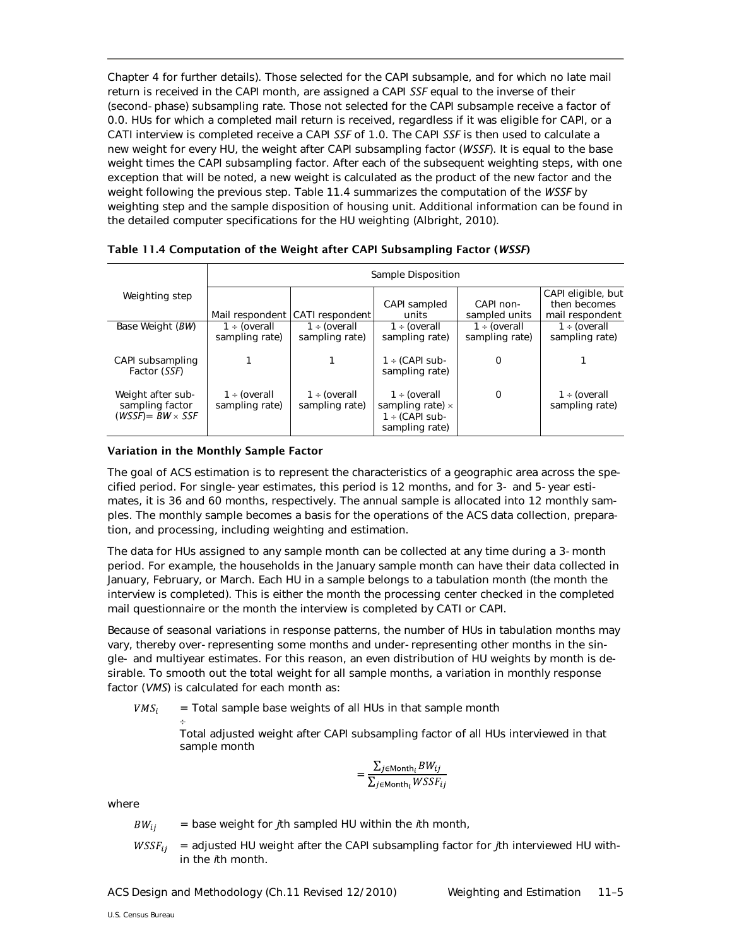Chapter 4 for further details). Those selected for the CAPI subsample, and for which no late mail return is received in the CAPI month, are assigned a CAPI *SSF* equal to the inverse of their (second-phase) subsampling rate. Those not selected for the CAPI subsample receive a factor of 0.0. HUs for which a completed mail return is received, regardless if it was eligible for CAPI, or a CATI interview is completed receive a CAPI *SSF* of 1.0. The CAPI *SSF* is then used to calculate a new weight for every HU, the weight after CAPI subsampling factor (*WSSF*). It is equal to the base weight times the CAPI subsampling factor. After each of the subsequent weighting steps, with one exception that will be noted, a new weight is calculated as the product of the new factor and the weight following the previous step. Table 11.4 summarizes the computation of the *WSSF* by weighting step and the sample disposition of housing unit. Additional information can be found in the detailed computer specifications for the HU weighting (Albright, 2010).

|                                                                 | Sample Disposition                  |                                     |                                                                                       |                                     |                                                       |
|-----------------------------------------------------------------|-------------------------------------|-------------------------------------|---------------------------------------------------------------------------------------|-------------------------------------|-------------------------------------------------------|
| Weighting step                                                  |                                     | Mail respondent CATI respondent     | CAPI sampled<br>units                                                                 | CAPI non-<br>sampled units          | CAPI eligible, but<br>then becomes<br>mail respondent |
| Base Weight (BW)                                                | $1 \div$ (overall<br>sampling rate) | $1 \div$ (overall<br>sampling rate) | $1 \div$ (overall<br>sampling rate)                                                   | $1 \div$ (overall<br>sampling rate) | $1 \div$ (overall<br>sampling rate)                   |
| CAPI subsampling<br>Factor (SSF)                                |                                     |                                     | $1 \div (CAPI sub-$<br>sampling rate)                                                 | 0                                   |                                                       |
| Weight after sub-<br>sampling factor<br>(WSSF)= $BW \times SSF$ | 1 ÷ (overall<br>sampling rate)      | $1 \div$ (overall<br>sampling rate) | $1 \div$ (overall<br>sampling rate) $\times$<br>$1 \div (CAPI sub-$<br>sampling rate) | 0                                   | $1 \div$ (overall<br>sampling rate)                   |

Table 11.4 Computation of the Weight after CAPI Subsampling Factor (*WSSF*)

## Variation in the Monthly Sample Factor

The goal of ACS estimation is to represent the characteristics of a geographic area across the specified period. For single-year estimates, this period is 12 months, and for 3- and 5-year estimates, it is 36 and 60 months, respectively. The annual sample is allocated into 12 monthly samples. The monthly sample becomes a basis for the operations of the ACS data collection, preparation, and processing, including weighting and estimation.

The data for HUs assigned to any sample month can be collected at any time during a 3-month period. For example, the households in the January sample month can have their data collected in January, February, or March. Each HU in a sample belongs to a tabulation month (the month the interview is completed). This is either the month the processing center checked in the completed mail questionnaire or the month the interview is completed by CATI or CAPI.

Because of seasonal variations in response patterns, the number of HUs in tabulation months may vary, thereby over-representing some months and under-representing other months in the single- and multiyear estimates. For this reason, an even distribution of HU weights by month is desirable. To smooth out the total weight for all sample months, a variation in monthly response factor (*VMS*) is calculated for each month as:

 $VMS_i$ = Total sample base weights of all HUs in that sample month

÷ Total adjusted weight after CAPI subsampling factor of all HUs interviewed in that sample month

$$
= \frac{\sum_{j \in \text{Month}_i} BW_{ij}}{\sum_{i \in \text{Month}_i} WSSF_{ii}}
$$

where

- = base weight for *j*th sampled HU within the *i*th month,  $BW_{ii}$
- $WSSF_{ij}$  = adjusted HU weight after the CAPI subsampling factor for *j*th interviewed HU within the *i*th month*.*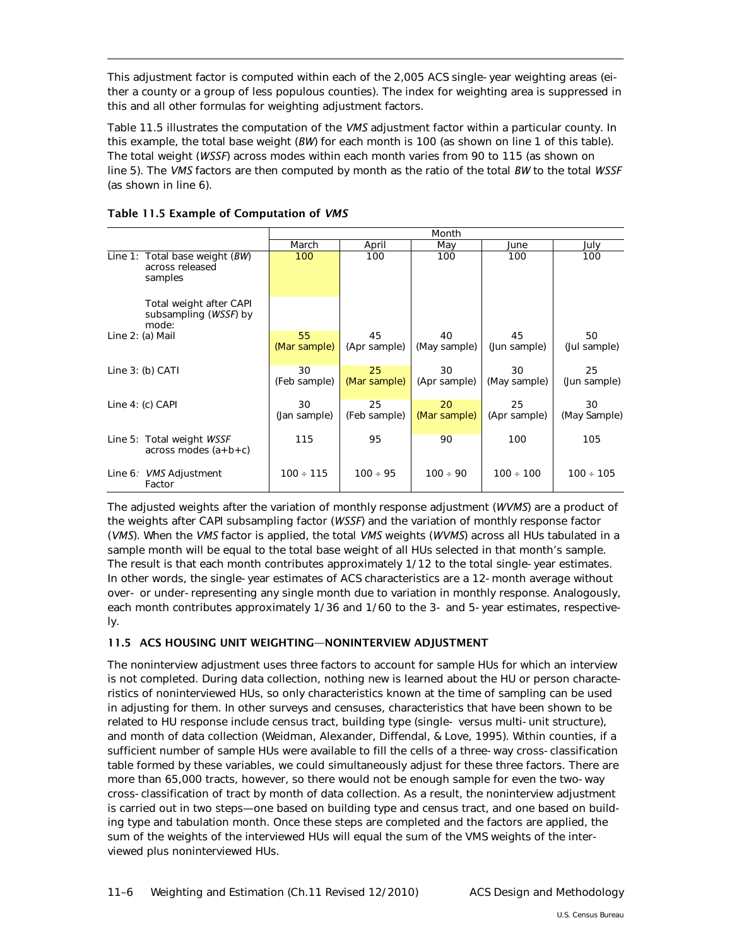This adjustment factor is computed within each of the 2,005 ACS single-year weighting areas (either a county or a group of less populous counties). The index for weighting area is suppressed in this and all other formulas for weighting adjustment factors.

Table 11.5 illustrates the computation of the *VMS* adjustment factor within a particular county. In this example, the total base weight (*BW*) for each month is 100 (as shown on line 1 of this table). The total weight (*WSSF*) across modes within each month varies from 90 to 115 (as shown on line 5). The *VMS* factors are then computed by month as the ratio of the total *BW* to the total *WSSF* (as shown in line 6).

|                                                                |                    |                    | Month              |                    |                    |
|----------------------------------------------------------------|--------------------|--------------------|--------------------|--------------------|--------------------|
|                                                                | March              | April              | May                | June               | July               |
| Line 1: Total base weight $(BW)$<br>across released<br>samples | 100                | 100                | 100                | 100                | 100                |
| Total weight after CAPI<br>subsampling (WSSF) by<br>mode:      |                    |                    |                    |                    |                    |
| Line 2: (a) Mail                                               | 55<br>(Mar sample) | 45<br>(Apr sample) | 40<br>(May sample) | 45<br>(Jun sample) | 50<br>(Jul sample) |
| Line $3:$ (b) CATI                                             | 30<br>(Feb sample) | 25<br>(Mar sample) | 30<br>(Apr sample) | 30<br>(May sample) | 25<br>(Jun sample) |
| Line $4: (c)$ CAPI                                             | 30<br>(Jan sample) | 25<br>(Feb sample) | 20<br>(Mar sample) | 25<br>(Apr sample) | 30<br>(May Sample) |
| Line 5: Total weight WSSF<br>$across$ modes $(a + b + c)$      | 115                | 95                 | 90                 | 100                | 105                |
| Line 6: VMS Adjustment<br>Factor                               | $100 \div 115$     | $100 \div 95$      | $100 \div 90$      | $100 \div 100$     | $100 \div 105$     |

# Table 11.5 Example of Computation of *VMS*

The adjusted weights after the variation of monthly response adjustment (*WVMS*) are a product of the weights after CAPI subsampling factor (*WSSF*) and the variation of monthly response factor (*VMS*). When the *VMS* factor is applied, the total *VMS* weights (*WVMS*) across all HUs tabulated in a sample month will be equal to the total base weight of all HUs selected in that month's sample. The result is that each month contributes approximately 1/12 to the total single-year estimates. In other words, the single-year estimates of ACS characteristics are a 12-month average without over- or under-representing any single month due to variation in monthly response. Analogously, each month contributes approximately 1/36 and 1/60 to the 3- and 5-year estimates, respectively.

# <span id="page-5-0"></span>11.5 ACS HOUSING UNIT WEIGHTING—NONINTERVIEW ADJUSTMENT

The noninterview adjustment uses three factors to account for sample HUs for which an interview is not completed. During data collection, nothing new is learned about the HU or person characteristics of noninterviewed HUs, so only characteristics known at the time of sampling can be used in adjusting for them. In other surveys and censuses, characteristics that have been shown to be related to HU response include census tract, building type (single- versus multi-unit structure), and month of data collection (Weidman, Alexander, Diffendal, & Love, 1995). Within counties, if a sufficient number of sample HUs were available to fill the cells of a three-way cross-classification table formed by these variables, we could simultaneously adjust for these three factors. There are more than 65,000 tracts, however, so there would not be enough sample for even the two-way cross-classification of tract by month of data collection. As a result, the noninterview adjustment is carried out in two steps—one based on building type and census tract, and one based on building type and tabulation month. Once these steps are completed and the factors are applied, the sum of the weights of the interviewed HUs will equal the sum of the VMS weights of the interviewed plus noninterviewed HUs.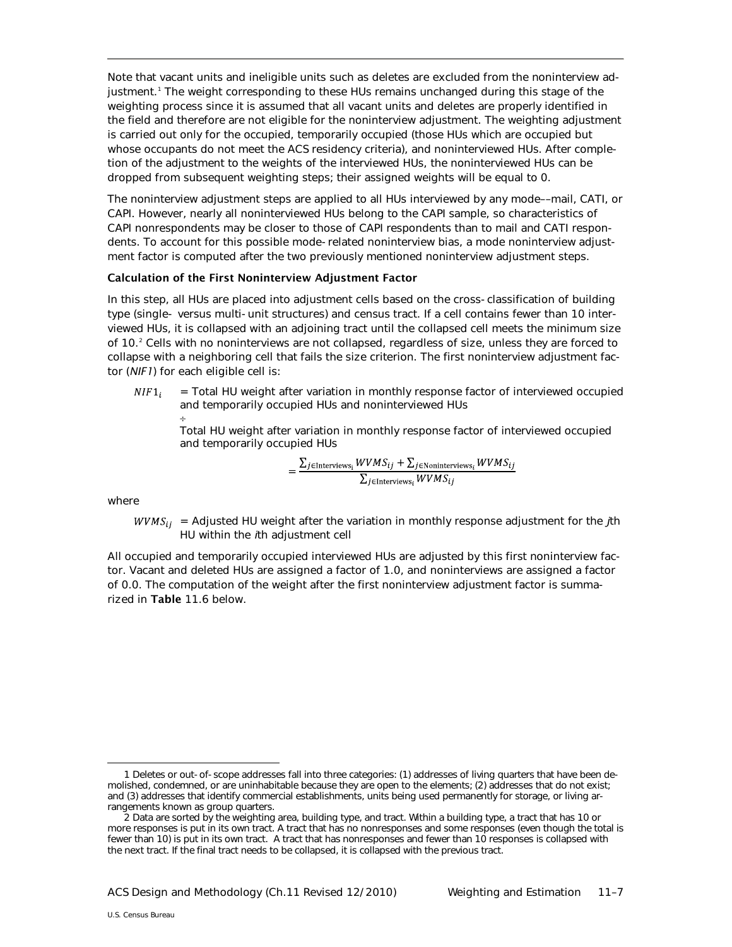Note that vacant units and ineligible units such as deletes are excluded from the noninterview adjustment.[1](#page-6-0) The weight corresponding to these HUs remains unchanged during this stage of the weighting process since it is assumed that all vacant units and deletes are properly identified in the field and therefore are not eligible for the noninterview adjustment. The weighting adjustment is carried out only for the occupied, temporarily occupied (those HUs which are occupied but whose occupants do not meet the ACS residency criteria), and noninterviewed HUs. After completion of the adjustment to the weights of the interviewed HUs, the noninterviewed HUs can be dropped from subsequent weighting steps; their assigned weights will be equal to 0.

The noninterview adjustment steps are applied to all HUs interviewed by any mode––mail, CATI, or CAPI. However, nearly all noninterviewed HUs belong to the CAPI sample, so characteristics of CAPI nonrespondents may be closer to those of CAPI respondents than to mail and CATI respondents. To account for this possible mode-related noninterview bias, a mode noninterview adjustment factor is computed after the two previously mentioned noninterview adjustment steps.

#### Calculation of the First Noninterview Adjustment Factor

In this step, all HUs are placed into adjustment cells based on the cross-classification of building type (single- versus multi-unit structures) and census tract. If a cell contains fewer than 10 interviewed HUs, it is collapsed with an adjoining tract until the collapsed cell meets the minimum size of 10.[2](#page-6-0) Cells with no noninterviews are not collapsed, regardless of size, unless they are forced to collapse with a neighboring cell that fails the size criterion. The first noninterview adjustment factor (*NIF1*) for each eligible cell is:

= Total HU weight after variation in monthly response factor of interviewed occupied  $NIF1$ and temporarily occupied HUs and noninterviewed HUs

÷ Total HU weight after variation in monthly response factor of interviewed occupied and temporarily occupied HUs

$$
= \frac{\sum_{j \in Interviews_i} WVMS_{ij} + \sum_{j \in Noninterviews_i} WVMS_{ij}}{\sum_{j \in Interviews_i} WVMS_{ij}}
$$

where

 $WVMS_{ii}$  = Adjusted HU weight after the variation in monthly response adjustment for the *j*th HU within the *i*th adjustment cell

All occupied and temporarily occupied interviewed HUs are adjusted by this first noninterview factor. Vacant and deleted HUs are assigned a factor of 1.0, and noninterviews are assigned a factor of 0.0. The computation of the weight after the first noninterview adjustment factor is summarized in Table 11.6 below.

<span id="page-6-0"></span>I 1 Deletes or out-of-scope addresses fall into three categories: (1) addresses of living quarters that have been demolished, condemned, or are uninhabitable because they are open to the elements; (2) addresses that do not exist; and (3) addresses that identify commercial establishments, units being used permanently for storage, or living arrangements known as group quarters.

<sup>2</sup> Data are sorted by the weighting area, building type, and tract. Within a building type, a tract that has 10 or more responses is put in its own tract. A tract that has no nonresponses and some responses (even though the total is fewer than 10) is put in its own tract. A tract that has nonresponses and fewer than 10 responses is collapsed with the next tract. If the final tract needs to be collapsed, it is collapsed with the previous tract.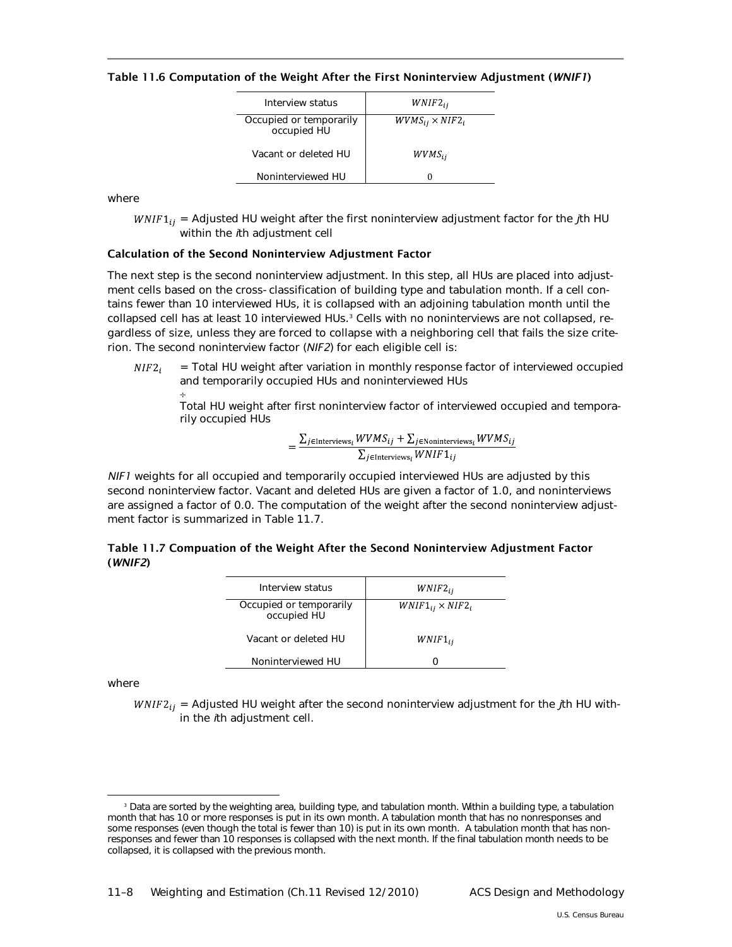Table 11.6 Computation of the Weight After the First Noninterview Adjustment (*WNIF1*)

| Interview status                       | $WNIF2_{ii}$              |
|----------------------------------------|---------------------------|
| Occupied or temporarily<br>occupied HU | $WVMS_{ij} \times NIF2_i$ |
| Vacant or deleted HU                   | $WVMS_{ii}$               |
| Noninterviewed HU                      |                           |

where

 $WNIF1_{ii}$  = Adjusted HU weight after the first noninterview adjustment factor for the *j*th HU within the *i*th adjustment cell

#### Calculation of the Second Noninterview Adjustment Factor

The next step is the second noninterview adjustment. In this step, all HUs are placed into adjustment cells based on the cross-classification of building type and tabulation month. If a cell contains fewer than 10 interviewed HUs, it is collapsed with an adjoining tabulation month until the  $\,$  collapsed cell has at least 10 interviewed HUs. $^3$  $^3$  Cells with no noninterviews are not collapsed, regardless of size, unless they are forced to collapse with a neighboring cell that fails the size criterion. The second noninterview factor (*NIF2*) for each eligible cell is:

= Total HU weight after variation in monthly response factor of interviewed occupied  $NIF2_i$ and temporarily occupied HUs and noninterviewed HUs

÷ Total HU weight after first noninterview factor of interviewed occupied and temporarily occupied HUs

$$
= \frac{\sum_{j \in Interviews_i} WVMS_{ij} + \sum_{j \in Noninterviews_i} WVMS_{ij}}{\sum_{j \in Interviews_i} WNIF1_{ij}}
$$

*NIF1* weights for all occupied and temporarily occupied interviewed HUs are adjusted by this second noninterview factor. Vacant and deleted HUs are given a factor of 1.0, and noninterviews are assigned a factor of 0.0. The computation of the weight after the second noninterview adjustment factor is summarized in Table 11.7.

| Table 11.7 Compuation of the Weight After the Second Noninterview Adjustment Factor |  |
|-------------------------------------------------------------------------------------|--|
| (WNIF2)                                                                             |  |

| Interview status                       | $WNIF2_{ii}$               |
|----------------------------------------|----------------------------|
| Occupied or temporarily<br>occupied HU | $WNIF1_{ii} \times NIF2_i$ |
| Vacant or deleted HU                   | $WNIF1_{ii}$               |
| Noninterviewed HU                      |                            |

where

 $WNIF2_{ij}$  = Adjusted HU weight after the second noninterview adjustment for the *j*th HU within the *i*th adjustment cell.

<span id="page-7-0"></span><sup>&</sup>lt;sup>3</sup> Data are sorted by the weighting area, building type, and tabulation month. Within a building type, a tabulation month that has 10 or more responses is put in its own month. A tabulation month that has no nonresponses and some responses (even though the total is fewer than 10) is put in its own month. A tabulation month that has nonresponses and fewer than 10 responses is collapsed with the next month. If the final tabulation month needs to be collapsed, it is collapsed with the previous month.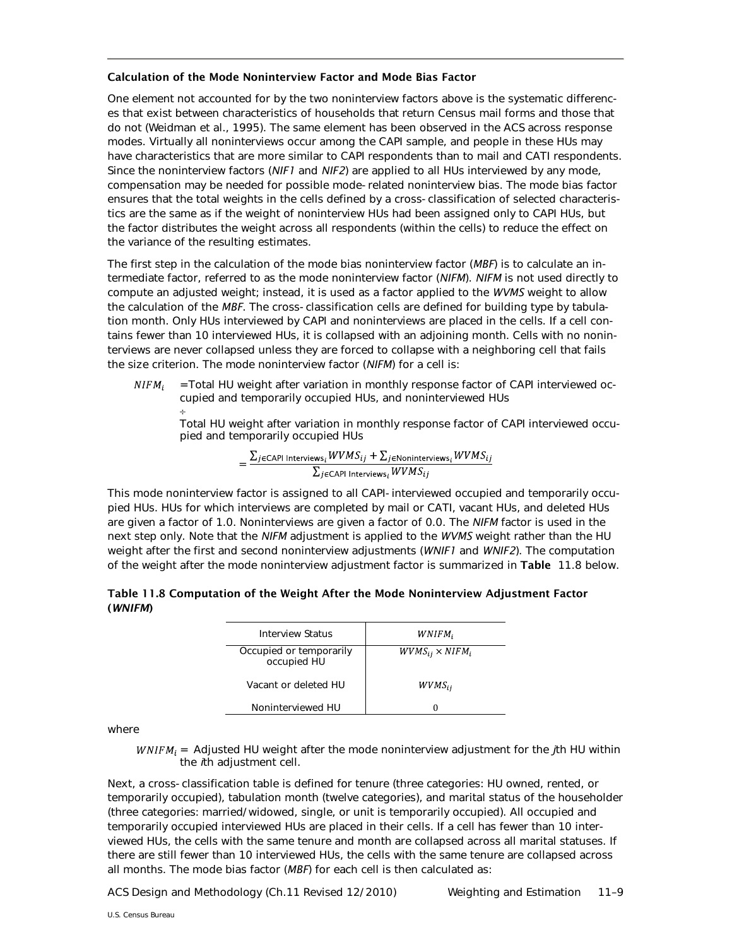#### Calculation of the Mode Noninterview Factor and Mode Bias Factor

One element not accounted for by the two noninterview factors above is the systematic differences that exist between characteristics of households that return Census mail forms and those that do not (Weidman et al., 1995). The same element has been observed in the ACS across response modes. Virtually all noninterviews occur among the CAPI sample, and people in these HUs may have characteristics that are more similar to CAPI respondents than to mail and CATI respondents. Since the noninterview factors (*NIF1* and *NIF2*) are applied to all HUs interviewed by any mode, compensation may be needed for possible mode-related noninterview bias. The mode bias factor ensures that the total weights in the cells defined by a cross-classification of selected characteristics are the same as if the weight of noninterview HUs had been assigned only to CAPI HUs, but the factor distributes the weight across all respondents (within the cells) to reduce the effect on the variance of the resulting estimates.

The first step in the calculation of the mode bias noninterview factor (*MBF*) is to calculate an intermediate factor, referred to as the mode noninterview factor (*NIFM*). *NIFM* is not used directly to compute an adjusted weight; instead, it is used as a factor applied to the *WVMS* weight to allow the calculation of the *MBF*. The cross-classification cells are defined for building type by tabulation month. Only HUs interviewed by CAPI and noninterviews are placed in the cells. If a cell contains fewer than 10 interviewed HUs, it is collapsed with an adjoining month. Cells with no noninterviews are never collapsed unless they are forced to collapse with a neighboring cell that fails the size criterion. The mode noninterview factor (*NIFM*) for a cell is:

=Total HU weight after variation in monthly response factor of CAPI interviewed oc- $NIFM<sub>i</sub>$ cupied and temporarily occupied HUs, and noninterviewed HUs

Total HU weight after variation in monthly response factor of CAPI interviewed occupied and temporarily occupied HUs

$$
= \frac{\sum_{j \in \text{CAPI Interviews}_i} WVMS_{ij} + \sum_{j \in \text{Noninterviews}_i} WVMS_{ij}}{\sum_{j \in \text{CAPI Interviews}_i} WVMS_{ij}}
$$

This mode noninterview factor is assigned to all CAPI-interviewed occupied and temporarily occupied HUs. HUs for which interviews are completed by mail or CATI, vacant HUs, and deleted HUs are given a factor of 1.0. Noninterviews are given a factor of 0.0. The *NIFM* factor is used in the next step only. Note that the *NIFM* adjustment is applied to the *WVMS* weight rather than the HU weight after the first and second noninterview adjustments (*WNIF1* and *WNIF2*). The computation of the weight after the mode noninterview adjustment factor is summarized in Table 11.8 below.

| Table 11.8 Computation of the Weight After the Mode Noninterview Adjustment Factor |  |
|------------------------------------------------------------------------------------|--|
| (WNIFM)                                                                            |  |

| <b>Interview Status</b>                | WNIFM,                    |
|----------------------------------------|---------------------------|
| Occupied or temporarily<br>occupied HU | $WVMS_{ij} \times NIFM_i$ |
| Vacant or deleted HU                   | $WVMS_{ii}$               |
| Noninterviewed HU                      |                           |

where

÷

 $WNIFM_i =$  Adjusted HU weight after the mode noninterview adjustment for the *j*th HU within the *i*th adjustment cell.

Next, a cross-classification table is defined for tenure (three categories: HU owned, rented, or temporarily occupied), tabulation month (twelve categories), and marital status of the householder (three categories: married/widowed, single, or unit is temporarily occupied). All occupied and temporarily occupied interviewed HUs are placed in their cells. If a cell has fewer than 10 interviewed HUs, the cells with the same tenure and month are collapsed across all marital statuses. If there are still fewer than 10 interviewed HUs, the cells with the same tenure are collapsed across all months. The mode bias factor (*MBF*) for each cell is then calculated as: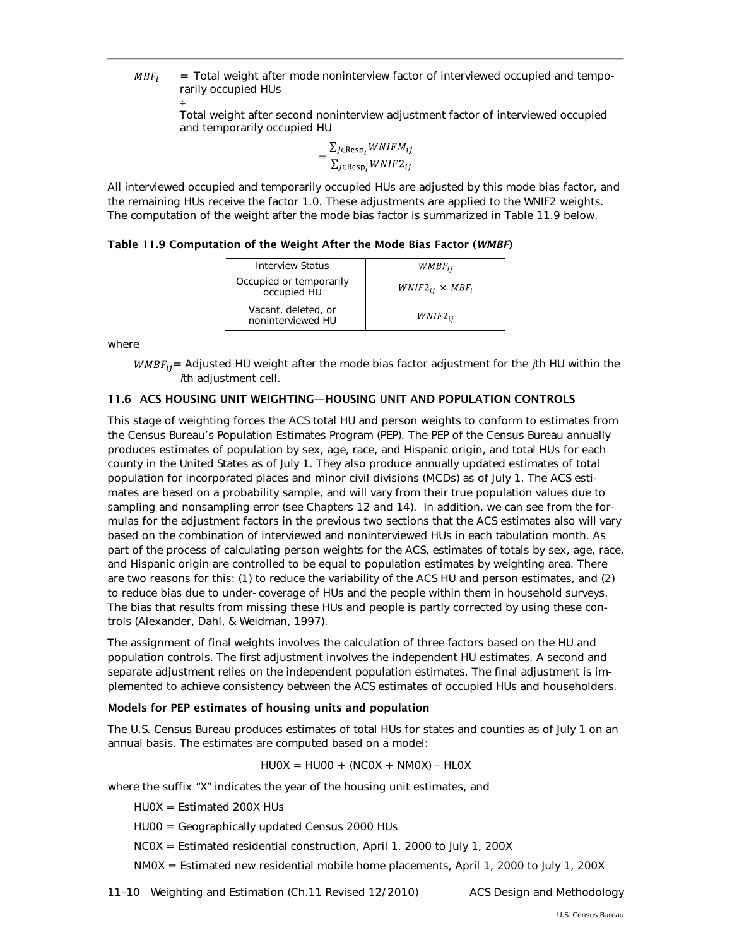$MBF_i$ = Total weight after mode noninterview factor of interviewed occupied and temporarily occupied HUs

> ÷ Total weight after second noninterview adjustment factor of interviewed occupied and temporarily occupied HU

$$
= \frac{\sum_{j \in \text{Resp}_i} WNIFM_{ij}}{\sum_{i \in \text{Resp}_i} WNIF2_{ij}}
$$

All interviewed occupied and temporarily occupied HUs are adjusted by this mode bias factor, and the remaining HUs receive the factor 1.0. These adjustments are applied to the WNIF2 weights. The computation of the weight after the mode bias factor is summarized in Table 11.9 below.

Table 11.9 Computation of the Weight After the Mode Bias Factor (*WMBF*)

| <b>Interview Status</b>                  | $WMBF_{ii}$               |
|------------------------------------------|---------------------------|
| Occupied or temporarily<br>occupied HU   | $WNIF2_{ii} \times MBF_i$ |
| Vacant, deleted, or<br>noninterviewed HU | $WNIF2_{ii}$              |

where

 $WMBF_{ij}$  = Adjusted HU weight after the mode bias factor adjustment for the *j*th HU within the *i*th adjustment cell.

## <span id="page-9-0"></span>11.6 ACS HOUSING UNIT WEIGHTING—HOUSING UNIT AND POPULATION CONTROLS

This stage of weighting forces the ACS total HU and person weights to conform to estimates from the Census Bureau's Population Estimates Program (PEP). The PEP of the Census Bureau annually produces estimates of population by sex, age, race, and Hispanic origin, and total HUs for each county in the United States as of July 1. They also produce annually updated estimates of total population for incorporated places and minor civil divisions (MCDs) as of July 1. The ACS estimates are based on a probability sample, and will vary from their true population values due to sampling and nonsampling error (see Chapters 12 and 14). In addition, we can see from the formulas for the adjustment factors in the previous two sections that the ACS estimates also will vary based on the combination of interviewed and noninterviewed HUs in each tabulation month. As part of the process of calculating person weights for the ACS, estimates of totals by sex, age, race, and Hispanic origin are controlled to be equal to population estimates by weighting area. There are two reasons for this: (1) to reduce the variability of the ACS HU and person estimates, and (2) to reduce bias due to under-coverage of HUs and the people within them in household surveys. The bias that results from missing these HUs and people is partly corrected by using these controls (Alexander, Dahl, & Weidman, 1997).

The assignment of final weights involves the calculation of three factors based on the HU and population controls. The first adjustment involves the independent HU estimates. A second and separate adjustment relies on the independent population estimates. The final adjustment is implemented to achieve consistency between the ACS estimates of occupied HUs and householders.

#### Models for PEP estimates of housing units and population

The U.S. Census Bureau produces estimates of total HUs for states and counties as of July 1 on an annual basis. The estimates are computed based on a model:

 $HUOX = HUOO + (NCOX + NMOX) - HLOX$ 

where the suffix "X" indicates the year of the housing unit estimates, and

HU0X = Estimated 200X HUs

- HU00 = Geographically updated Census 2000 HUs
- NC0X = Estimated residential construction, April 1, 2000 to July 1, 200X

NM0X = Estimated new residential mobile home placements, April 1, 2000 to July 1, 200X

11–10 Weighting and Estimation (Ch.11 Revised 12/2010) ACS Design and Methodology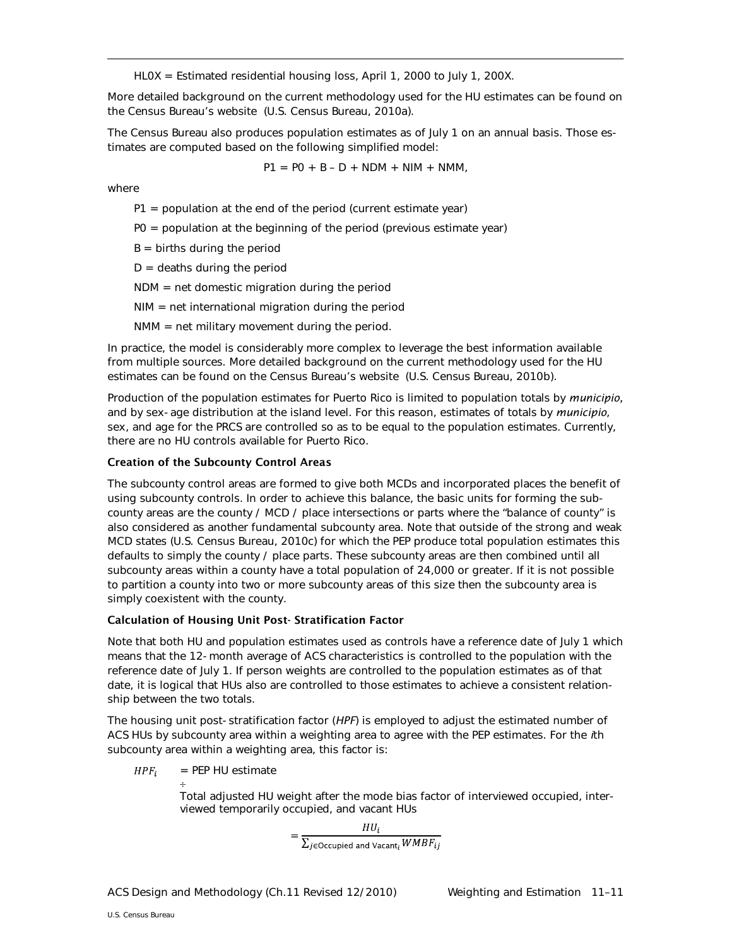HL0X = Estimated residential housing loss, April 1, 2000 to July 1, 200X.

More detailed background on the current methodology used for the HU estimates can be found on the Census Bureau's website (U.S. Census Bureau, 2010a).

The Census Bureau also produces population estimates as of July 1 on an annual basis. Those estimates are computed based on the following simplified model:

$$
P1 = PO + B - D + NDM + NIM + NMM,
$$

where

- $P1$  = population at the end of the period (current estimate year)
- P0 = population at the beginning of the period (previous estimate year)
- $B =$  births during the period
- $D =$  deaths during the period
- NDM = net domestic migration during the period
- NIM = net international migration during the period
- NMM = net military movement during the period.

In practice, the model is considerably more complex to leverage the best information available from multiple sources. More detailed background on the current methodology used for the HU estimates can be found on the Census Bureau's website (U.S. Census Bureau, 2010b).

Production of the population estimates for Puerto Rico is limited to population totals by *municipio,* and by sex-age distribution at the island level. For this reason, estimates of totals by *municipio*, sex, and age for the PRCS are controlled so as to be equal to the population estimates. Currently, there are no HU controls available for Puerto Rico.

#### Creation of the Subcounty Control Areas

The subcounty control areas are formed to give both MCDs and incorporated places the benefit of using subcounty controls. In order to achieve this balance, the basic units for forming the subcounty areas are the county / MCD / place intersections or parts where the "balance of county" is also considered as another fundamental subcounty area. Note that outside of the strong and weak MCD states (U.S. Census Bureau, 2010c) for which the PEP produce total population estimates this defaults to simply the county / place parts. These subcounty areas are then combined until all subcounty areas within a county have a total population of 24,000 or greater. If it is not possible to partition a county into two or more subcounty areas of this size then the subcounty area is simply coexistent with the county.

## Calculation of Housing Unit Post- Stratification Factor

Note that both HU and population estimates used as controls have a reference date of July 1 which means that the 12-month average of ACS characteristics is controlled to the population with the reference date of July 1. If person weights are controlled to the population estimates as of that date, it is logical that HUs also are controlled to those estimates to achieve a consistent relationship between the two totals.

The housing unit post-stratification factor (*HPF*) is employed to adjust the estimated number of ACS HUs by subcounty area within a weighting area to agree with the PEP estimates. For the *i*th subcounty area within a weighting area, this factor is:

 $HPF_i$ = PEP HU estimate

> ÷ Total adjusted HU weight after the mode bias factor of interviewed occupied, inter-

viewed temporarily occupied, and vacant HUs<br>=  $\frac{HU_i}{\sum_{j \in \text{Occupied and Vacant}_i} WMBF_{ij}}$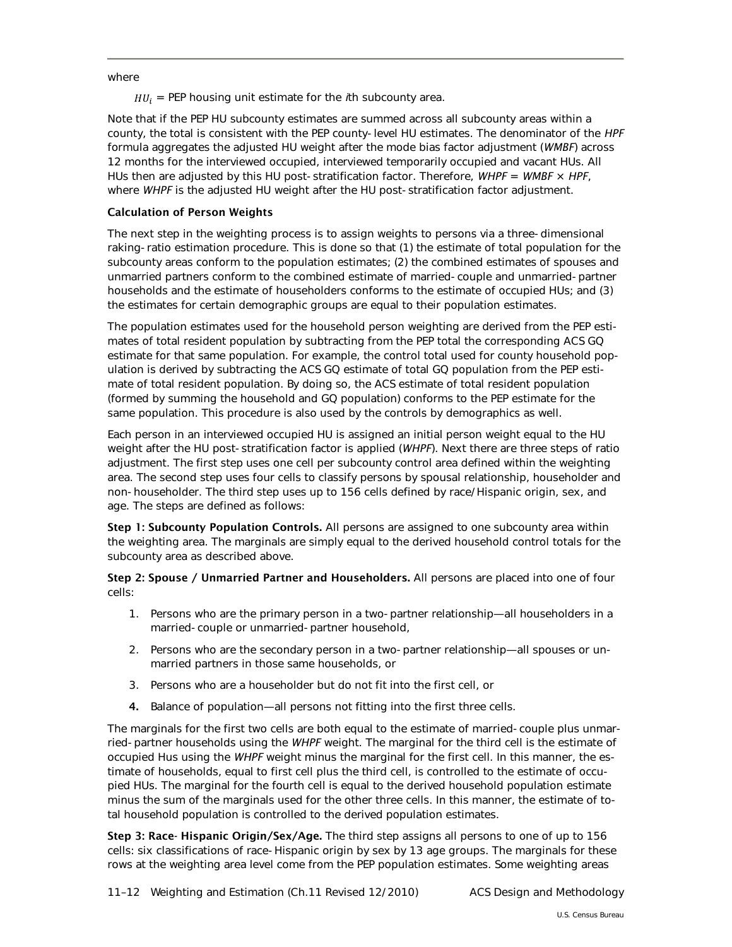where

 $HU_i = PEP$  housing unit estimate for the  $i$ th subcounty area.

Note that if the PEP HU subcounty estimates are summed across all subcounty areas within a county, the total is consistent with the PEP county-level HU estimates. The denominator of the *HPF* formula aggregates the adjusted HU weight after the mode bias factor adjustment (*WMBF*) across 12 months for the interviewed occupied, interviewed temporarily occupied and vacant HUs. All HUs then are adjusted by this HU post-stratification factor. Therefore, *WHPF* = *WMBF* × *HPF*, where *WHPF* is the adjusted HU weight after the HU post-stratification factor adjustment.

# Calculation of Person Weights

The next step in the weighting process is to assign weights to persons via a three-dimensional raking-ratio estimation procedure. This is done so that (1) the estimate of total population for the subcounty areas conform to the population estimates; (2) the combined estimates of spouses and unmarried partners conform to the combined estimate of married-couple and unmarried-partner households and the estimate of householders conforms to the estimate of occupied HUs; and (3) the estimates for certain demographic groups are equal to their population estimates.

The population estimates used for the household person weighting are derived from the PEP estimates of total resident population by subtracting from the PEP total the corresponding ACS GQ estimate for that same population. For example, the control total used for county household population is derived by subtracting the ACS GQ estimate of total GQ population from the PEP estimate of total resident population. By doing so, the ACS estimate of total resident population (formed by summing the household and GQ population) conforms to the PEP estimate for the same population. This procedure is also used by the controls by demographics as well.

Each person in an interviewed occupied HU is assigned an initial person weight equal to the HU weight after the HU post-stratification factor is applied (*WHPF*). Next there are three steps of ratio adjustment. The first step uses one cell per subcounty control area defined within the weighting area. The second step uses four cells to classify persons by spousal relationship, householder and non-householder. The third step uses up to 156 cells defined by race/Hispanic origin, sex, and age. The steps are defined as follows:

Step 1: Subcounty Population Controls. All persons are assigned to one subcounty area within the weighting area. The marginals are simply equal to the derived household control totals for the subcounty area as described above.

Step 2: Spouse / Unmarried Partner and Householders. All persons are placed into one of four cells:

- 1. Persons who are the primary person in a two-partner relationship—all householders in a married-couple or unmarried-partner household,
- 2. Persons who are the secondary person in a two-partner relationship—all spouses or unmarried partners in those same households, or
- 3. Persons who are a householder but do not fit into the first cell, or
- 4. Balance of population—all persons not fitting into the first three cells.

The marginals for the first two cells are both equal to the estimate of married-couple plus unmarried-partner households using the *WHPF* weight. The marginal for the third cell is the estimate of occupied Hus using the *WHPF* weight minus the marginal for the first cell. In this manner, the estimate of households, equal to first cell plus the third cell, is controlled to the estimate of occupied HUs. The marginal for the fourth cell is equal to the derived household population estimate minus the sum of the marginals used for the other three cells. In this manner, the estimate of total household population is controlled to the derived population estimates.

Step 3: Race- Hispanic Origin/Sex/Age. The third step assigns all persons to one of up to 156 cells: six classifications of race-Hispanic origin by sex by 13 age groups. The marginals for these rows at the weighting area level come from the PEP population estimates. Some weighting areas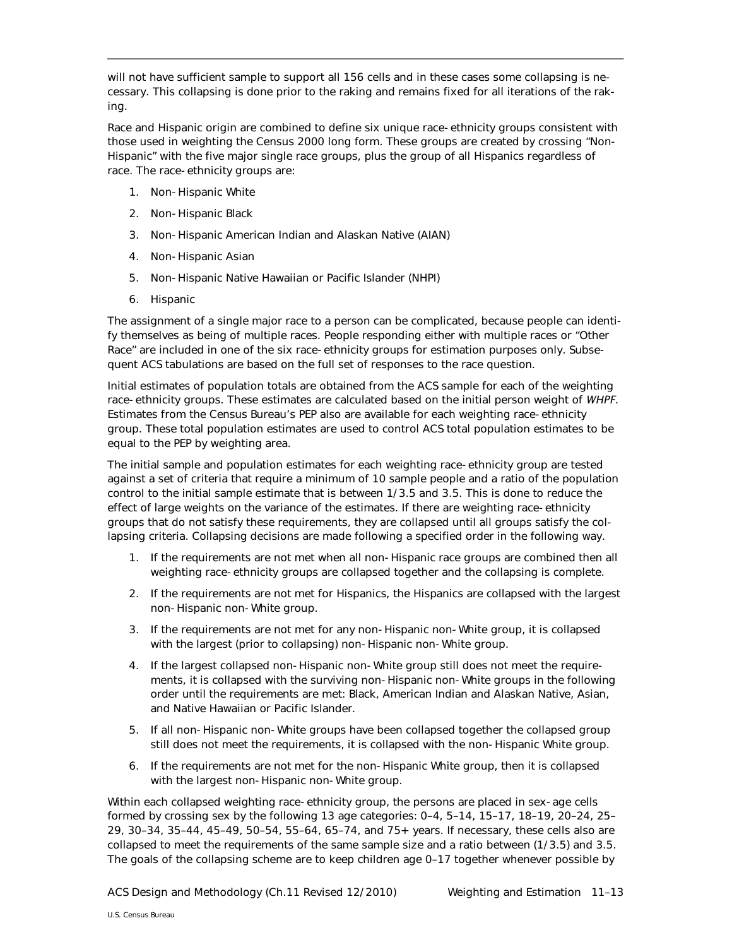will not have sufficient sample to support all 156 cells and in these cases some collapsing is necessary. This collapsing is done prior to the raking and remains fixed for all iterations of the raking.

Race and Hispanic origin are combined to define six unique race-ethnicity groups consistent with those used in weighting the Census 2000 long form. These groups are created by crossing "Non-Hispanic" with the five major single race groups, plus the group of all Hispanics regardless of race. The race-ethnicity groups are:

- 1. Non-Hispanic White
- 2. Non-Hispanic Black
- 3. Non-Hispanic American Indian and Alaskan Native (AIAN)
- 4. Non-Hispanic Asian
- 5. Non-Hispanic Native Hawaiian or Pacific Islander (NHPI)
- 6. Hispanic

The assignment of a single major race to a person can be complicated, because people can identify themselves as being of multiple races. People responding either with multiple races or "Other Race" are included in one of the six race-ethnicity groups for estimation purposes only. Subsequent ACS tabulations are based on the full set of responses to the race question.

Initial estimates of population totals are obtained from the ACS sample for each of the weighting race-ethnicity groups. These estimates are calculated based on the initial person weight of *WHPF*. Estimates from the Census Bureau's PEP also are available for each weighting race-ethnicity group. These total population estimates are used to control ACS total population estimates to be equal to the PEP by weighting area.

The initial sample and population estimates for each weighting race-ethnicity group are tested against a set of criteria that require a minimum of 10 sample people and a ratio of the population control to the initial sample estimate that is between 1/3.5 and 3.5. This is done to reduce the effect of large weights on the variance of the estimates. If there are weighting race-ethnicity groups that do not satisfy these requirements, they are collapsed until all groups satisfy the collapsing criteria. Collapsing decisions are made following a specified order in the following way.

- 1. If the requirements are not met when all non-Hispanic race groups are combined then all weighting race-ethnicity groups are collapsed together and the collapsing is complete.
- 2. If the requirements are not met for Hispanics, the Hispanics are collapsed with the largest non-Hispanic non-White group.
- 3. If the requirements are not met for any non-Hispanic non-White group, it is collapsed with the largest (prior to collapsing) non-Hispanic non-White group.
- 4. If the largest collapsed non-Hispanic non-White group still does not meet the requirements, it is collapsed with the surviving non-Hispanic non-White groups in the following order until the requirements are met: Black, American Indian and Alaskan Native, Asian, and Native Hawaiian or Pacific Islander.
- 5. If all non-Hispanic non-White groups have been collapsed together the collapsed group still does not meet the requirements, it is collapsed with the non-Hispanic White group.
- 6. If the requirements are not met for the non-Hispanic White group, then it is collapsed with the largest non-Hispanic non-White group.

Within each collapsed weighting race-ethnicity group, the persons are placed in sex-age cells formed by crossing sex by the following 13 age categories: 0–4, 5–14, 15–17, 18–19, 20–24, 25– 29, 30–34, 35–44, 45–49, 50–54, 55–64, 65–74, and 75+ years. If necessary, these cells also are collapsed to meet the requirements of the same sample size and a ratio between (1/3.5) and 3.5. The goals of the collapsing scheme are to keep children age 0–17 together whenever possible by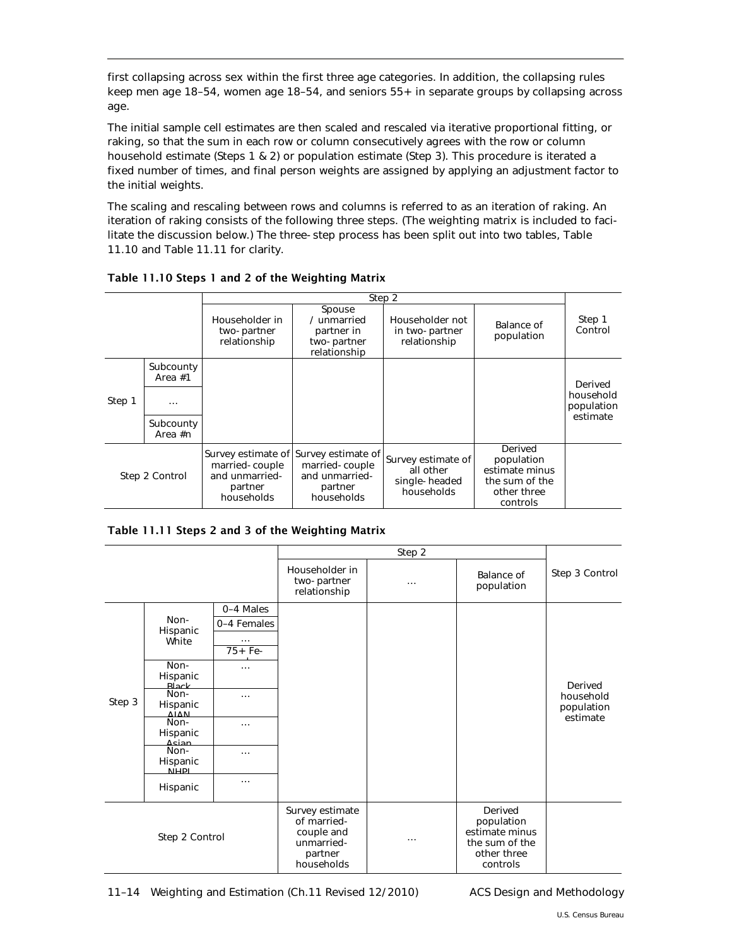first collapsing across sex within the first three age categories. In addition, the collapsing rules keep men age 18–54, women age 18–54, and seniors 55+ in separate groups by collapsing across age.

The initial sample cell estimates are then scaled and rescaled via iterative proportional fitting, or raking, so that the sum in each row or column consecutively agrees with the row or column household estimate (Steps 1 & 2) or population estimate (Step 3). This procedure is iterated a fixed number of times, and final person weights are assigned by applying an adjustment factor to the initial weights.

The scaling and rescaling between rows and columns is referred to as an iteration of raking. An iteration of raking consists of the following three steps. (The weighting matrix is included to facilitate the discussion below.) The three-step process has been split out into two tables, Table 11.10 and Table 11.11 for clarity.

|                |                                                     | Step 2                                                    |                                                                                                    |                                                                |                                                                                      |                                                |
|----------------|-----------------------------------------------------|-----------------------------------------------------------|----------------------------------------------------------------------------------------------------|----------------------------------------------------------------|--------------------------------------------------------------------------------------|------------------------------------------------|
|                |                                                     | Householder in<br>two-partner<br>relationship             | Spouse<br>/ unmarried<br>partner in<br>two-partner<br>relationship                                 | Householder not<br>in two-partner<br>relationship              | Balance of<br>population                                                             | Step 1<br>Control                              |
| Step 1         | Subcounty<br>Area $#1$<br>.<br>Subcounty<br>Area #n |                                                           |                                                                                                    |                                                                |                                                                                      | Derived<br>household<br>population<br>estimate |
| Step 2 Control |                                                     | married-couple<br>and unmarried-<br>partner<br>households | Survey estimate of Survey estimate of<br>married-couple<br>and unmarried-<br>partner<br>households | Survey estimate of<br>all other<br>single-headed<br>households | Derived<br>population<br>estimate minus<br>the sum of the<br>other three<br>controls |                                                |

## Table 11.10 Steps 1 and 2 of the Weighting Matrix

## Table 11.11 Steps 2 and 3 of the Weighting Matrix

|                |                           |                                                                                     | Step 2                                        |                                                                                      |                          |                      |
|----------------|---------------------------|-------------------------------------------------------------------------------------|-----------------------------------------------|--------------------------------------------------------------------------------------|--------------------------|----------------------|
|                |                           |                                                                                     | Householder in<br>two-partner<br>relationship | $\cdots$                                                                             | Balance of<br>population | Step 3 Control       |
| Step 3         | Non-<br>Hispanic<br>White | 0-4 Males                                                                           |                                               |                                                                                      |                          |                      |
|                |                           | 0-4 Females                                                                         |                                               |                                                                                      |                          |                      |
|                |                           | $\cdots$                                                                            |                                               |                                                                                      |                          |                      |
|                |                           | $75 + Fe-$                                                                          |                                               |                                                                                      |                          |                      |
|                | Non-                      | $\cdots$                                                                            |                                               |                                                                                      |                          |                      |
|                | Hispanic                  |                                                                                     |                                               |                                                                                      |                          |                      |
|                | <b>Rlack</b><br>Non-      | $\cdots$                                                                            |                                               |                                                                                      |                          | Derived<br>household |
|                | Hispanic                  |                                                                                     |                                               |                                                                                      |                          | population           |
|                | <b>AIAN</b>               |                                                                                     |                                               |                                                                                      |                          | estimate             |
|                | Non-                      | $\cdots$                                                                            |                                               |                                                                                      |                          |                      |
|                | Hispanic<br>Acian         |                                                                                     |                                               |                                                                                      |                          |                      |
|                | Non-                      | $\cdots$                                                                            |                                               |                                                                                      |                          |                      |
|                | Hispanic<br><b>NIHDI</b>  |                                                                                     |                                               |                                                                                      |                          |                      |
|                |                           | $\cdots$                                                                            |                                               |                                                                                      |                          |                      |
|                | Hispanic                  |                                                                                     |                                               |                                                                                      |                          |                      |
| Step 2 Control |                           | Survey estimate<br>of married-<br>couple and<br>unmarried-<br>partner<br>households | $\cdots$                                      | Derived<br>population<br>estimate minus<br>the sum of the<br>other three<br>controls |                          |                      |

11–14 Weighting and Estimation (Ch.11 Revised 12/2010) ACS Design and Methodology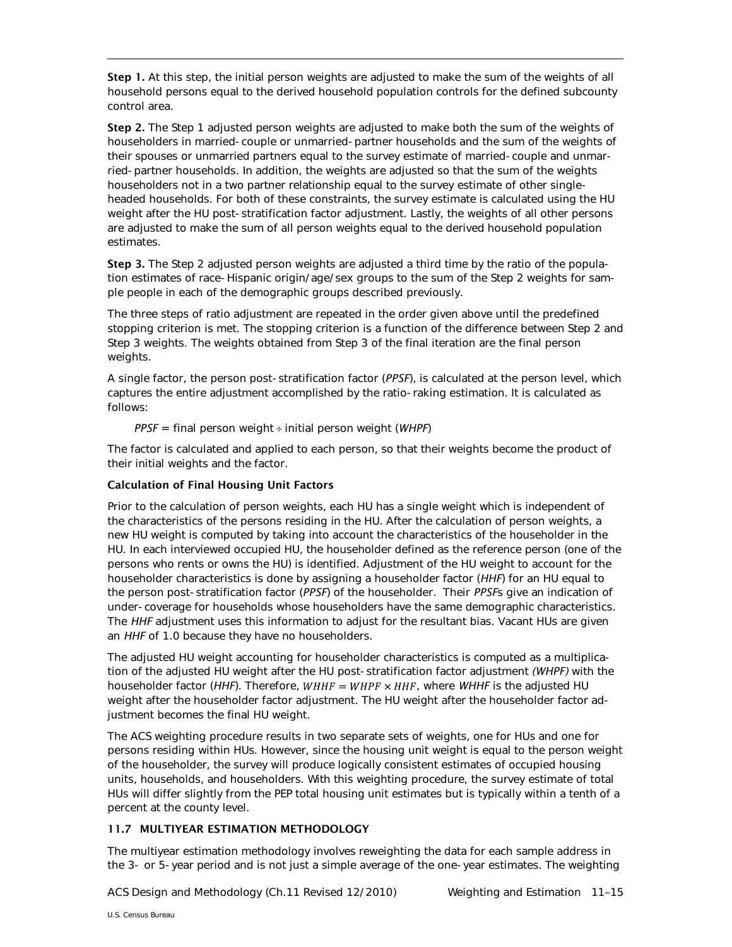Step 1. At this step, the initial person weights are adjusted to make the sum of the weights of all household persons equal to the derived household population controls for the defined subcounty control area.

Step 2. The Step 1 adjusted person weights are adjusted to make both the sum of the weights of householders in married-couple or unmarried-partner households and the sum of the weights of their spouses or unmarried partners equal to the survey estimate of married-couple and unmarried-partner households. In addition, the weights are adjusted so that the sum of the weights householders not in a two partner relationship equal to the survey estimate of other singleheaded households. For both of these constraints, the survey estimate is calculated using the HU weight after the HU post-stratification factor adjustment. Lastly, the weights of all other persons are adjusted to make the sum of all person weights equal to the derived household population estimates.

Step 3. The Step 2 adjusted person weights are adjusted a third time by the ratio of the population estimates of race-Hispanic origin/age/sex groups to the sum of the Step 2 weights for sample people in each of the demographic groups described previously.

The three steps of ratio adjustment are repeated in the order given above until the predefined stopping criterion is met. The stopping criterion is a function of the difference between Step 2 and Step 3 weights. The weights obtained from Step 3 of the final iteration are the final person weights.

A single factor, the person post-stratification factor (*PPSF*), is calculated at the person level, which captures the entire adjustment accomplished by the ratio-raking estimation. It is calculated as follows:

*PPSF* = final person weight ÷ initial person weight (*WHPF*)

The factor is calculated and applied to each person, so that their weights become the product of their initial weights and the factor.

# Calculation of Final Housing Unit Factors

Prior to the calculation of person weights, each HU has a single weight which is independent of the characteristics of the persons residing in the HU. After the calculation of person weights, a new HU weight is computed by taking into account the characteristics of the householder in the HU. In each interviewed occupied HU, the householder defined as the reference person (one of the persons who rents or owns the HU) is identified. Adjustment of the HU weight to account for the householder characteristics is done by assigning a householder factor (*HHF*) for an HU equal to the person post-stratification factor (*PPSF*) of the householder. Their *PPSF*s give an indication of under-coverage for households whose householders have the same demographic characteristics. The *HHF* adjustment uses this information to adjust for the resultant bias. Vacant HUs are given an *HHF* of 1.0 because they have no householders.

The adjusted HU weight accounting for householder characteristics is computed as a multiplication of the adjusted HU weight after the HU post-stratification factor adjustment *(WHPF)* with the householder factor (HHF). Therefore,  $WHHF = WHPF \times HHF$ , where WHHF is the adjusted HU weight after the householder factor adjustment. The HU weight after the householder factor adjustment becomes the final HU weight.

The ACS weighting procedure results in two separate sets of weights, one for HUs and one for persons residing within HUs. However, since the housing unit weight is equal to the person weight of the householder, the survey will produce logically consistent estimates of occupied housing units, households, and householders. With this weighting procedure, the survey estimate of total HUs will differ slightly from the PEP total housing unit estimates but is typically within a tenth of a percent at the county level.

# <span id="page-14-0"></span>11.7 MULTIYEAR ESTIMATION METHODOLOGY

The multiyear estimation methodology involves reweighting the data for each sample address in the 3- or 5-year period and is not just a simple average of the one-year estimates. The weighting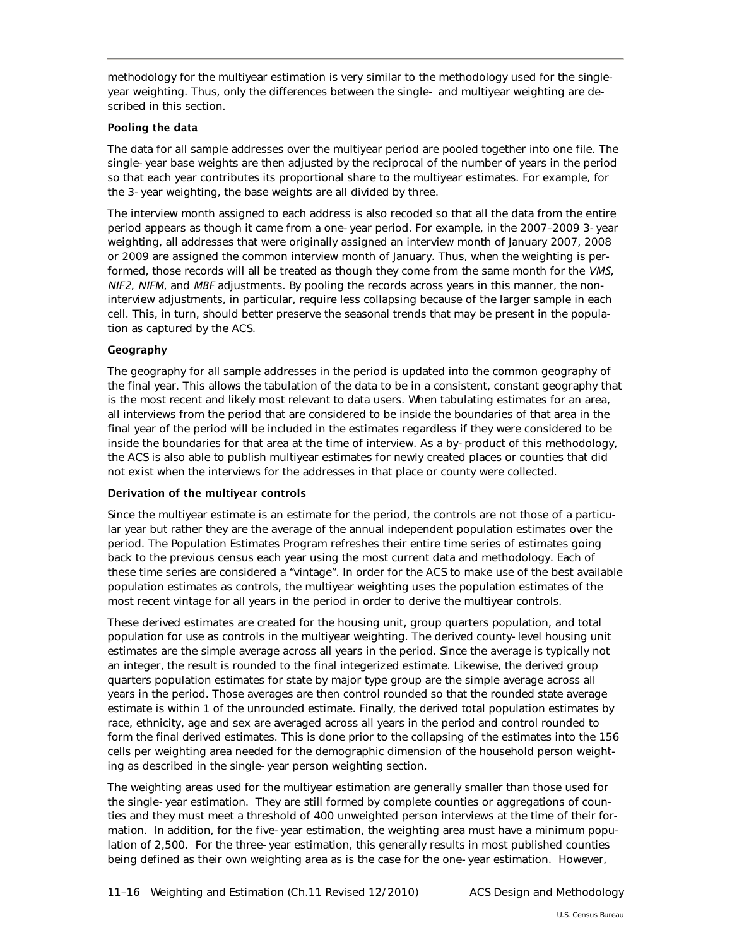methodology for the multiyear estimation is very similar to the methodology used for the singleyear weighting. Thus, only the differences between the single- and multiyear weighting are described in this section.

## Pooling the data

The data for all sample addresses over the multiyear period are pooled together into one file. The single-year base weights are then adjusted by the reciprocal of the number of years in the period so that each year contributes its proportional share to the multiyear estimates. For example, for the 3-year weighting, the base weights are all divided by three.

The interview month assigned to each address is also recoded so that all the data from the entire period appears as though it came from a one-year period. For example, in the 2007–2009 3-year weighting, all addresses that were originally assigned an interview month of January 2007, 2008 or 2009 are assigned the common interview month of January. Thus, when the weighting is performed, those records will all be treated as though they come from the same month for the *VMS*, *NIF2*, *NIFM*, and *MBF* adjustments. By pooling the records across years in this manner, the noninterview adjustments, in particular, require less collapsing because of the larger sample in each cell. This, in turn, should better preserve the seasonal trends that may be present in the population as captured by the ACS.

#### Geography

The geography for all sample addresses in the period is updated into the common geography of the final year. This allows the tabulation of the data to be in a consistent, constant geography that is the most recent and likely most relevant to data users. When tabulating estimates for an area, all interviews from the period that are considered to be inside the boundaries of that area in the final year of the period will be included in the estimates regardless if they were considered to be inside the boundaries for that area at the time of interview. As a by-product of this methodology, the ACS is also able to publish multiyear estimates for newly created places or counties that did not exist when the interviews for the addresses in that place or county were collected.

#### Derivation of the multiyear controls

Since the multiyear estimate is an estimate for the period, the controls are not those of a particular year but rather they are the average of the annual independent population estimates over the period. The Population Estimates Program refreshes their entire time series of estimates going back to the previous census each year using the most current data and methodology. Each of these time series are considered a "vintage". In order for the ACS to make use of the best available population estimates as controls, the multiyear weighting uses the population estimates of the most recent vintage for all years in the period in order to derive the multiyear controls.

These derived estimates are created for the housing unit, group quarters population, and total population for use as controls in the multiyear weighting. The derived county-level housing unit estimates are the simple average across all years in the period. Since the average is typically not an integer, the result is rounded to the final integerized estimate. Likewise, the derived group quarters population estimates for state by major type group are the simple average across all years in the period. Those averages are then control rounded so that the rounded state average estimate is within 1 of the unrounded estimate. Finally, the derived total population estimates by race, ethnicity, age and sex are averaged across all years in the period and control rounded to form the final derived estimates. This is done prior to the collapsing of the estimates into the 156 cells per weighting area needed for the demographic dimension of the household person weighting as described in the single-year person weighting section.

The weighting areas used for the multiyear estimation are generally smaller than those used for the single-year estimation. They are still formed by complete counties or aggregations of counties and they must meet a threshold of 400 unweighted person interviews at the time of their formation. In addition, for the five-year estimation, the weighting area must have a minimum population of 2,500. For the three-year estimation, this generally results in most published counties being defined as their own weighting area as is the case for the one-year estimation. However,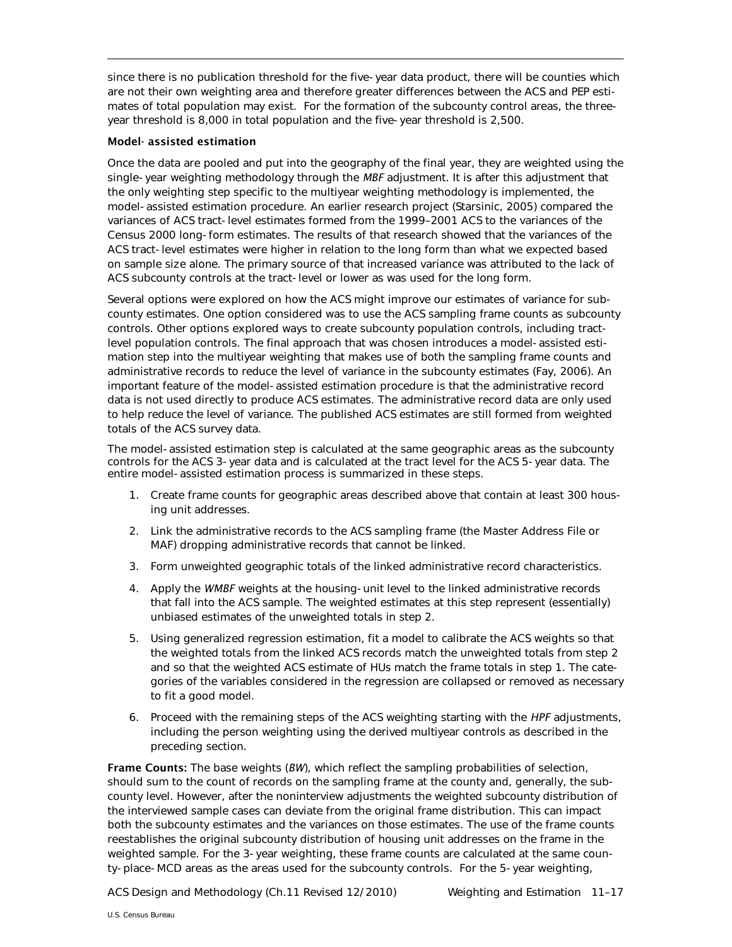since there is no publication threshold for the five-year data product, there will be counties which are not their own weighting area and therefore greater differences between the ACS and PEP estimates of total population may exist. For the formation of the subcounty control areas, the threeyear threshold is 8,000 in total population and the five-year threshold is 2,500.

### Model- assisted estimation

Once the data are pooled and put into the geography of the final year, they are weighted using the single-year weighting methodology through the *MBF* adjustment. It is after this adjustment that the only weighting step specific to the multiyear weighting methodology is implemented, the model-assisted estimation procedure. An earlier research project (Starsinic, 2005) compared the variances of ACS tract-level estimates formed from the 1999–2001 ACS to the variances of the Census 2000 long-form estimates. The results of that research showed that the variances of the ACS tract-level estimates were higher in relation to the long form than what we expected based on sample size alone. The primary source of that increased variance was attributed to the lack of ACS subcounty controls at the tract-level or lower as was used for the long form.

Several options were explored on how the ACS might improve our estimates of variance for subcounty estimates. One option considered was to use the ACS sampling frame counts as subcounty controls. Other options explored ways to create subcounty population controls, including tractlevel population controls. The final approach that was chosen introduces a model-assisted estimation step into the multiyear weighting that makes use of both the sampling frame counts and administrative records to reduce the level of variance in the subcounty estimates (Fay, 2006). An important feature of the model-assisted estimation procedure is that the administrative record data is not used directly to produce ACS estimates. The administrative record data are only used to help reduce the level of variance. The published ACS estimates are still formed from weighted totals of the ACS survey data.

The model-assisted estimation step is calculated at the same geographic areas as the subcounty controls for the ACS 3-year data and is calculated at the tract level for the ACS 5-year data. The entire model-assisted estimation process is summarized in these steps.

- 1. Create frame counts for geographic areas described above that contain at least 300 housing unit addresses.
- 2. Link the administrative records to the ACS sampling frame (the Master Address File or MAF) dropping administrative records that cannot be linked.
- 3. Form unweighted geographic totals of the linked administrative record characteristics.
- 4. Apply the *WMBF* weights at the housing-unit level to the linked administrative records that fall into the ACS sample. The weighted estimates at this step represent (essentially) unbiased estimates of the unweighted totals in step 2.
- 5. Using generalized regression estimation, fit a model to calibrate the ACS weights so that the weighted totals from the linked ACS records match the unweighted totals from step 2 and so that the weighted ACS estimate of HUs match the frame totals in step 1. The categories of the variables considered in the regression are collapsed or removed as necessary to fit a good model.
- 6. Proceed with the remaining steps of the ACS weighting starting with the *HPF* adjustments, including the person weighting using the derived multiyear controls as described in the preceding section.

Frame Counts: The base weights (*BW*), which reflect the sampling probabilities of selection, should sum to the count of records on the sampling frame at the county and, generally, the subcounty level. However, after the noninterview adjustments the weighted subcounty distribution of the interviewed sample cases can deviate from the original frame distribution. This can impact both the subcounty estimates and the variances on those estimates. The use of the frame counts reestablishes the original subcounty distribution of housing unit addresses on the frame in the weighted sample. For the 3-year weighting, these frame counts are calculated at the same county-place-MCD areas as the areas used for the subcounty controls. For the 5-year weighting,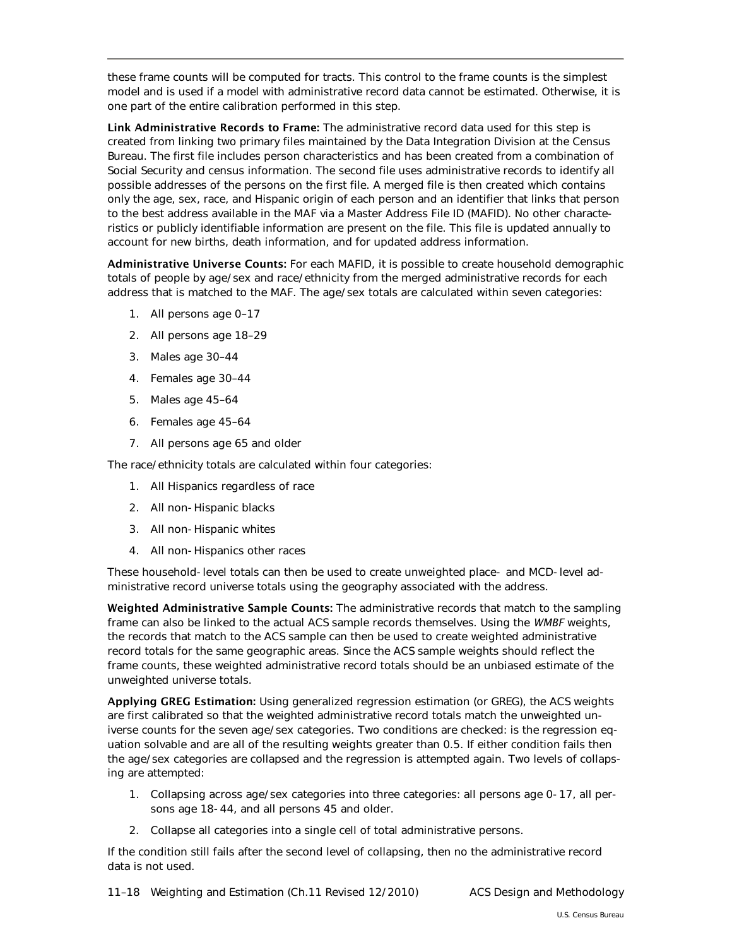these frame counts will be computed for tracts. This control to the frame counts is the simplest model and is used if a model with administrative record data cannot be estimated. Otherwise, it is one part of the entire calibration performed in this step.

Link Administrative Records to Frame: The administrative record data used for this step is created from linking two primary files maintained by the Data Integration Division at the Census Bureau. The first file includes person characteristics and has been created from a combination of Social Security and census information. The second file uses administrative records to identify all possible addresses of the persons on the first file. A merged file is then created which contains only the age, sex, race, and Hispanic origin of each person and an identifier that links that person to the best address available in the MAF via a Master Address File ID (MAFID). No other characteristics or publicly identifiable information are present on the file. This file is updated annually to account for new births, death information, and for updated address information.

Administrative Universe Counts: For each MAFID, it is possible to create household demographic totals of people by age/sex and race/ethnicity from the merged administrative records for each address that is matched to the MAF. The age/sex totals are calculated within seven categories:

- 1. All persons age 0–17
- 2. All persons age 18–29
- 3. Males age 30–44
- 4. Females age 30–44
- 5. Males age 45–64
- 6. Females age 45–64
- 7. All persons age 65 and older

The race/ethnicity totals are calculated within four categories:

- 1. All Hispanics regardless of race
- 2. All non-Hispanic blacks
- 3. All non-Hispanic whites
- 4. All non-Hispanics other races

These household-level totals can then be used to create unweighted place- and MCD-level administrative record universe totals using the geography associated with the address.

Weighted Administrative Sample Counts: The administrative records that match to the sampling frame can also be linked to the actual ACS sample records themselves. Using the *WMBF* weights, the records that match to the ACS sample can then be used to create weighted administrative record totals for the same geographic areas. Since the ACS sample weights should reflect the frame counts, these weighted administrative record totals should be an unbiased estimate of the unweighted universe totals.

Applying GREG Estimation: Using generalized regression estimation (or GREG), the ACS weights are first calibrated so that the weighted administrative record totals match the unweighted universe counts for the seven age/sex categories. Two conditions are checked: is the regression equation solvable and are all of the resulting weights greater than 0.5. If either condition fails then the age/sex categories are collapsed and the regression is attempted again. Two levels of collapsing are attempted:

- 1. Collapsing across age/sex categories into three categories: all persons age 0-17, all persons age 18-44, and all persons 45 and older.
- 2. Collapse all categories into a single cell of total administrative persons.

If the condition still fails after the second level of collapsing, then no the administrative record data is not used.

11–18 Weighting and Estimation (Ch.11 Revised 12/2010) ACS Design and Methodology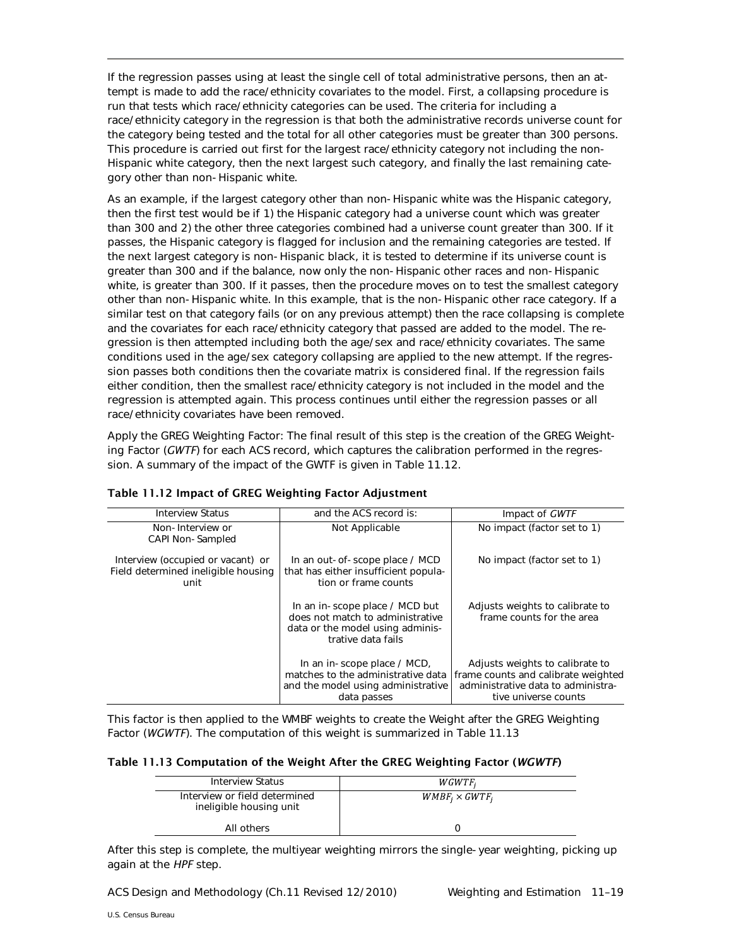If the regression passes using at least the single cell of total administrative persons, then an attempt is made to add the race/ethnicity covariates to the model. First, a collapsing procedure is run that tests which race/ethnicity categories can be used. The criteria for including a race/ethnicity category in the regression is that both the administrative records universe count for the category being tested and the total for all other categories must be greater than 300 persons. This procedure is carried out first for the largest race/ethnicity category not including the non-Hispanic white category, then the next largest such category, and finally the last remaining category other than non-Hispanic white.

As an example, if the largest category other than non-Hispanic white was the Hispanic category, then the first test would be if 1) the Hispanic category had a universe count which was greater than 300 and 2) the other three categories combined had a universe count greater than 300. If it passes, the Hispanic category is flagged for inclusion and the remaining categories are tested. If the next largest category is non-Hispanic black, it is tested to determine if its universe count is greater than 300 and if the balance, now only the non-Hispanic other races and non-Hispanic white, is greater than 300. If it passes, then the procedure moves on to test the smallest category other than non-Hispanic white. In this example, that is the non-Hispanic other race category. If a similar test on that category fails (or on any previous attempt) then the race collapsing is complete and the covariates for each race/ethnicity category that passed are added to the model. The regression is then attempted including both the age/sex and race/ethnicity covariates. The same conditions used in the age/sex category collapsing are applied to the new attempt. If the regression passes both conditions then the covariate matrix is considered final. If the regression fails either condition, then the smallest race/ethnicity category is not included in the model and the regression is attempted again. This process continues until either the regression passes or all race/ethnicity covariates have been removed.

Apply the GREG Weighting Factor: The final result of this step is the creation of the GREG Weighting Factor (*GWTF*) for each ACS record, which captures the calibration performed in the regression. A summary of the impact of the GWTF is given in Table 11.12.

| <b>Interview Status</b>                                                          | and the ACS record is:                                                                                                       | Impact of GWTF                                                                                                                       |  |
|----------------------------------------------------------------------------------|------------------------------------------------------------------------------------------------------------------------------|--------------------------------------------------------------------------------------------------------------------------------------|--|
| Non-Interview or<br>CAPI Non-Sampled                                             | Not Applicable                                                                                                               | No impact (factor set to 1)                                                                                                          |  |
| Interview (occupied or vacant) or<br>Field determined ineligible housing<br>unit | In an out-of-scope place / MCD<br>that has either insufficient popula-<br>tion or frame counts                               | No impact (factor set to 1)                                                                                                          |  |
|                                                                                  | In an in-scope place / MCD but<br>does not match to administrative<br>data or the model using adminis-<br>trative data fails | Adjusts weights to calibrate to<br>frame counts for the area                                                                         |  |
|                                                                                  | In an in-scope place / MCD,<br>matches to the administrative data<br>and the model using administrative<br>data passes       | Adjusts weights to calibrate to<br>frame counts and calibrate weighted<br>administrative data to administra-<br>tive universe counts |  |

## Table 11.12 Impact of GREG Weighting Factor Adjustment

This factor is then applied to the WMBF weights to create the Weight after the GREG Weighting Factor (*WGWTF*). The computation of this weight is summarized in Table 11.13

#### Table 11.13 Computation of the Weight After the GREG Weighting Factor (*WGWTF*)

| <b>Interview Status</b>                                  | WGWTF,                 |
|----------------------------------------------------------|------------------------|
| Interview or field determined<br>ineligible housing unit | $WMBF_i \times GWTF_i$ |
| All others                                               |                        |

After this step is complete, the multiyear weighting mirrors the single-year weighting, picking up again at the *HPF* step.